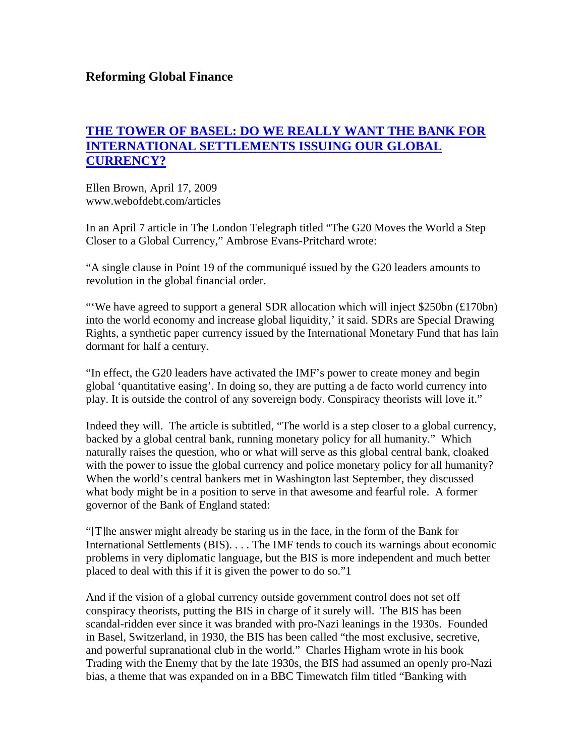## **Reforming Global Finance**

## **THE TOWER OF BASEL: DO WE REALLY WANT THE BANK FOR INTERNATIONAL SETTLEMENTS ISSUING OUR GLOBAL CURRENCY?**

Ellen Brown, April 17, 2009 www.webofdebt.com/articles

In an April 7 article in The London Telegraph titled "The G20 Moves the World a Step Closer to a Global Currency," Ambrose Evans-Pritchard wrote:

"A single clause in Point 19 of the communiqué issued by the G20 leaders amounts to revolution in the global financial order.

"We have agreed to support a general SDR allocation which will inject \$250bn (£170bn) into the world economy and increase global liquidity,' it said. SDRs are Special Drawing Rights, a synthetic paper currency issued by the International Monetary Fund that has lain dormant for half a century.

"In effect, the G20 leaders have activated the IMF's power to create money and begin global 'quantitative easing'. In doing so, they are putting a de facto world currency into play. It is outside the control of any sovereign body. Conspiracy theorists will love it."

Indeed they will. The article is subtitled, "The world is a step closer to a global currency, backed by a global central bank, running monetary policy for all humanity." Which naturally raises the question, who or what will serve as this global central bank, cloaked with the power to issue the global currency and police monetary policy for all humanity? When the world's central bankers met in Washington last September, they discussed what body might be in a position to serve in that awesome and fearful role. A former governor of the Bank of England stated:

"[T]he answer might already be staring us in the face, in the form of the Bank for International Settlements (BIS). . . . The IMF tends to couch its warnings about economic problems in very diplomatic language, but the BIS is more independent and much better placed to deal with this if it is given the power to do so."1

And if the vision of a global currency outside government control does not set off conspiracy theorists, putting the BIS in charge of it surely will. The BIS has been scandal-ridden ever since it was branded with pro-Nazi leanings in the 1930s. Founded in Basel, Switzerland, in 1930, the BIS has been called "the most exclusive, secretive, and powerful supranational club in the world." Charles Higham wrote in his book Trading with the Enemy that by the late 1930s, the BIS had assumed an openly pro-Nazi bias, a theme that was expanded on in a BBC Timewatch film titled "Banking with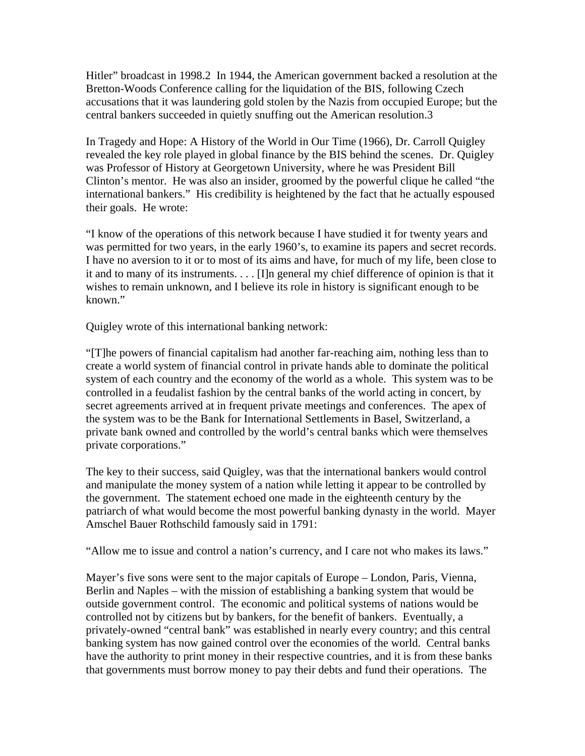Hitler" broadcast in 1998.2 In 1944, the American government backed a resolution at the Bretton-Woods Conference calling for the liquidation of the BIS, following Czech accusations that it was laundering gold stolen by the Nazis from occupied Europe; but the central bankers succeeded in quietly snuffing out the American resolution.3

In Tragedy and Hope: A History of the World in Our Time (1966), Dr. Carroll Quigley revealed the key role played in global finance by the BIS behind the scenes. Dr. Quigley was Professor of History at Georgetown University, where he was President Bill Clinton's mentor. He was also an insider, groomed by the powerful clique he called "the international bankers." His credibility is heightened by the fact that he actually espoused their goals. He wrote:

"I know of the operations of this network because I have studied it for twenty years and was permitted for two years, in the early 1960's, to examine its papers and secret records. I have no aversion to it or to most of its aims and have, for much of my life, been close to it and to many of its instruments. . . . [I]n general my chief difference of opinion is that it wishes to remain unknown, and I believe its role in history is significant enough to be known."

Quigley wrote of this international banking network:

"[T]he powers of financial capitalism had another far-reaching aim, nothing less than to create a world system of financial control in private hands able to dominate the political system of each country and the economy of the world as a whole. This system was to be controlled in a feudalist fashion by the central banks of the world acting in concert, by secret agreements arrived at in frequent private meetings and conferences. The apex of the system was to be the Bank for International Settlements in Basel, Switzerland, a private bank owned and controlled by the world's central banks which were themselves private corporations."

The key to their success, said Quigley, was that the international bankers would control and manipulate the money system of a nation while letting it appear to be controlled by the government. The statement echoed one made in the eighteenth century by the patriarch of what would become the most powerful banking dynasty in the world. Mayer Amschel Bauer Rothschild famously said in 1791:

"Allow me to issue and control a nation's currency, and I care not who makes its laws."

Mayer's five sons were sent to the major capitals of Europe – London, Paris, Vienna, Berlin and Naples – with the mission of establishing a banking system that would be outside government control. The economic and political systems of nations would be controlled not by citizens but by bankers, for the benefit of bankers. Eventually, a privately-owned "central bank" was established in nearly every country; and this central banking system has now gained control over the economies of the world. Central banks have the authority to print money in their respective countries, and it is from these banks that governments must borrow money to pay their debts and fund their operations. The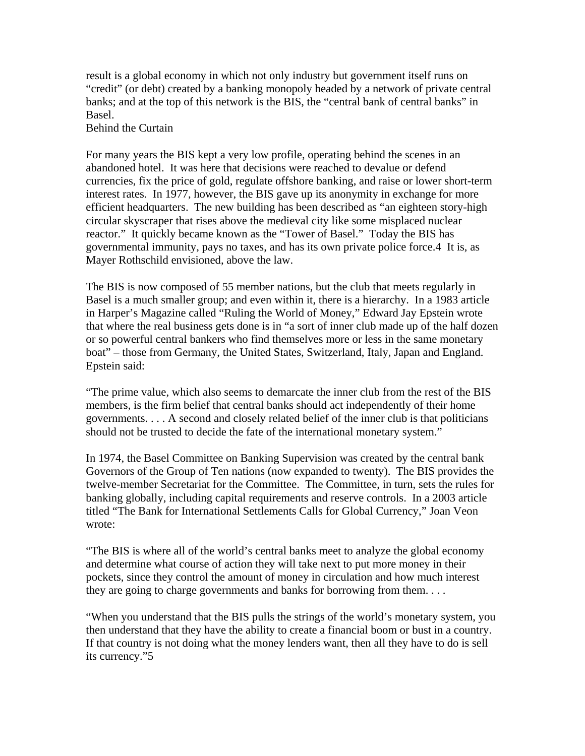result is a global economy in which not only industry but government itself runs on "credit" (or debt) created by a banking monopoly headed by a network of private central banks; and at the top of this network is the BIS, the "central bank of central banks" in Basel.

Behind the Curtain

For many years the BIS kept a very low profile, operating behind the scenes in an abandoned hotel. It was here that decisions were reached to devalue or defend currencies, fix the price of gold, regulate offshore banking, and raise or lower short-term interest rates. In 1977, however, the BIS gave up its anonymity in exchange for more efficient headquarters. The new building has been described as "an eighteen story-high circular skyscraper that rises above the medieval city like some misplaced nuclear reactor." It quickly became known as the "Tower of Basel." Today the BIS has governmental immunity, pays no taxes, and has its own private police force.4 It is, as Mayer Rothschild envisioned, above the law.

The BIS is now composed of 55 member nations, but the club that meets regularly in Basel is a much smaller group; and even within it, there is a hierarchy. In a 1983 article in Harper's Magazine called "Ruling the World of Money," Edward Jay Epstein wrote that where the real business gets done is in "a sort of inner club made up of the half dozen or so powerful central bankers who find themselves more or less in the same monetary boat" – those from Germany, the United States, Switzerland, Italy, Japan and England. Epstein said:

"The prime value, which also seems to demarcate the inner club from the rest of the BIS members, is the firm belief that central banks should act independently of their home governments. . . . A second and closely related belief of the inner club is that politicians should not be trusted to decide the fate of the international monetary system."

In 1974, the Basel Committee on Banking Supervision was created by the central bank Governors of the Group of Ten nations (now expanded to twenty). The BIS provides the twelve-member Secretariat for the Committee. The Committee, in turn, sets the rules for banking globally, including capital requirements and reserve controls. In a 2003 article titled "The Bank for International Settlements Calls for Global Currency," Joan Veon wrote:

"The BIS is where all of the world's central banks meet to analyze the global economy and determine what course of action they will take next to put more money in their pockets, since they control the amount of money in circulation and how much interest they are going to charge governments and banks for borrowing from them. . . .

"When you understand that the BIS pulls the strings of the world's monetary system, you then understand that they have the ability to create a financial boom or bust in a country. If that country is not doing what the money lenders want, then all they have to do is sell its currency."5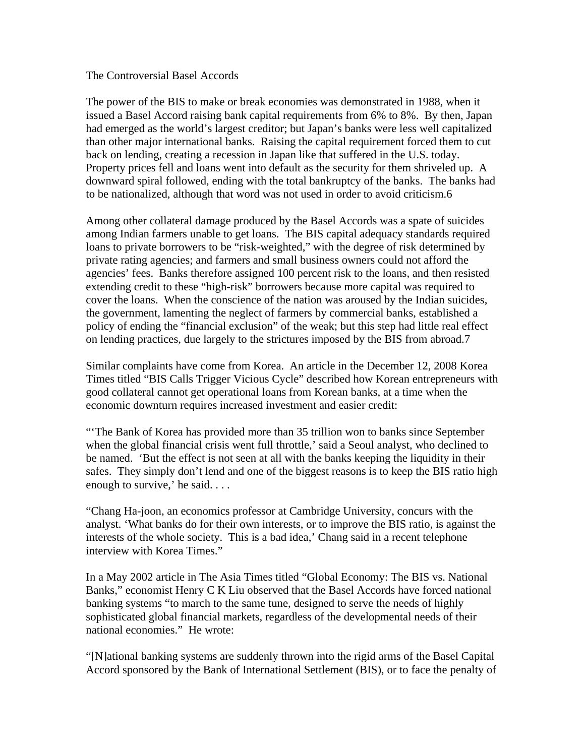## The Controversial Basel Accords

The power of the BIS to make or break economies was demonstrated in 1988, when it issued a Basel Accord raising bank capital requirements from 6% to 8%. By then, Japan had emerged as the world's largest creditor; but Japan's banks were less well capitalized than other major international banks. Raising the capital requirement forced them to cut back on lending, creating a recession in Japan like that suffered in the U.S. today. Property prices fell and loans went into default as the security for them shriveled up. A downward spiral followed, ending with the total bankruptcy of the banks. The banks had to be nationalized, although that word was not used in order to avoid criticism.6

Among other collateral damage produced by the Basel Accords was a spate of suicides among Indian farmers unable to get loans. The BIS capital adequacy standards required loans to private borrowers to be "risk-weighted," with the degree of risk determined by private rating agencies; and farmers and small business owners could not afford the agencies' fees. Banks therefore assigned 100 percent risk to the loans, and then resisted extending credit to these "high-risk" borrowers because more capital was required to cover the loans. When the conscience of the nation was aroused by the Indian suicides, the government, lamenting the neglect of farmers by commercial banks, established a policy of ending the "financial exclusion" of the weak; but this step had little real effect on lending practices, due largely to the strictures imposed by the BIS from abroad.7

Similar complaints have come from Korea. An article in the December 12, 2008 Korea Times titled "BIS Calls Trigger Vicious Cycle" described how Korean entrepreneurs with good collateral cannot get operational loans from Korean banks, at a time when the economic downturn requires increased investment and easier credit:

"'The Bank of Korea has provided more than 35 trillion won to banks since September when the global financial crisis went full throttle,' said a Seoul analyst, who declined to be named. 'But the effect is not seen at all with the banks keeping the liquidity in their safes. They simply don't lend and one of the biggest reasons is to keep the BIS ratio high enough to survive,' he said. . . .

"Chang Ha-joon, an economics professor at Cambridge University, concurs with the analyst. 'What banks do for their own interests, or to improve the BIS ratio, is against the interests of the whole society. This is a bad idea,' Chang said in a recent telephone interview with Korea Times."

In a May 2002 article in The Asia Times titled "Global Economy: The BIS vs. National Banks," economist Henry C K Liu observed that the Basel Accords have forced national banking systems "to march to the same tune, designed to serve the needs of highly sophisticated global financial markets, regardless of the developmental needs of their national economies." He wrote:

"[N]ational banking systems are suddenly thrown into the rigid arms of the Basel Capital Accord sponsored by the Bank of International Settlement (BIS), or to face the penalty of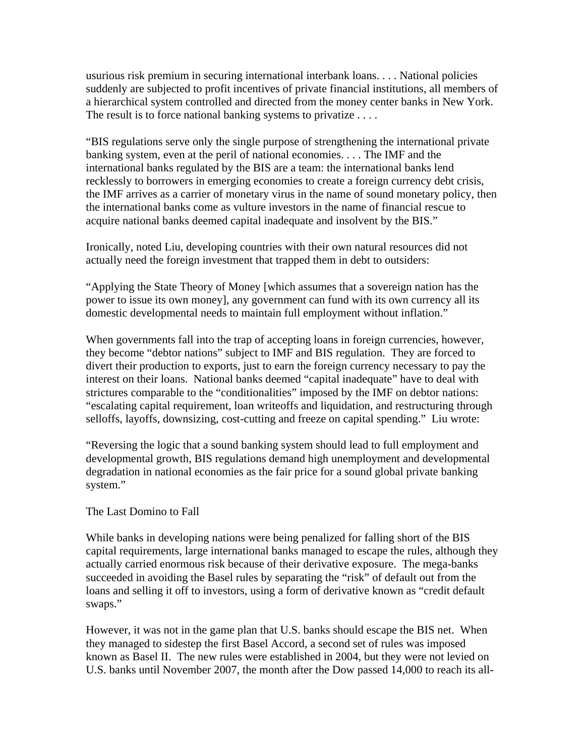usurious risk premium in securing international interbank loans. . . . National policies suddenly are subjected to profit incentives of private financial institutions, all members of a hierarchical system controlled and directed from the money center banks in New York. The result is to force national banking systems to privatize . . . .

"BIS regulations serve only the single purpose of strengthening the international private banking system, even at the peril of national economies. . . . The IMF and the international banks regulated by the BIS are a team: the international banks lend recklessly to borrowers in emerging economies to create a foreign currency debt crisis, the IMF arrives as a carrier of monetary virus in the name of sound monetary policy, then the international banks come as vulture investors in the name of financial rescue to acquire national banks deemed capital inadequate and insolvent by the BIS."

Ironically, noted Liu, developing countries with their own natural resources did not actually need the foreign investment that trapped them in debt to outsiders:

"Applying the State Theory of Money [which assumes that a sovereign nation has the power to issue its own money], any government can fund with its own currency all its domestic developmental needs to maintain full employment without inflation."

When governments fall into the trap of accepting loans in foreign currencies, however, they become "debtor nations" subject to IMF and BIS regulation. They are forced to divert their production to exports, just to earn the foreign currency necessary to pay the interest on their loans. National banks deemed "capital inadequate" have to deal with strictures comparable to the "conditionalities" imposed by the IMF on debtor nations: "escalating capital requirement, loan writeoffs and liquidation, and restructuring through selloffs, layoffs, downsizing, cost-cutting and freeze on capital spending." Liu wrote:

"Reversing the logic that a sound banking system should lead to full employment and developmental growth, BIS regulations demand high unemployment and developmental degradation in national economies as the fair price for a sound global private banking system."

## The Last Domino to Fall

While banks in developing nations were being penalized for falling short of the BIS capital requirements, large international banks managed to escape the rules, although they actually carried enormous risk because of their derivative exposure. The mega-banks succeeded in avoiding the Basel rules by separating the "risk" of default out from the loans and selling it off to investors, using a form of derivative known as "credit default swaps."

However, it was not in the game plan that U.S. banks should escape the BIS net. When they managed to sidestep the first Basel Accord, a second set of rules was imposed known as Basel II. The new rules were established in 2004, but they were not levied on U.S. banks until November 2007, the month after the Dow passed 14,000 to reach its all